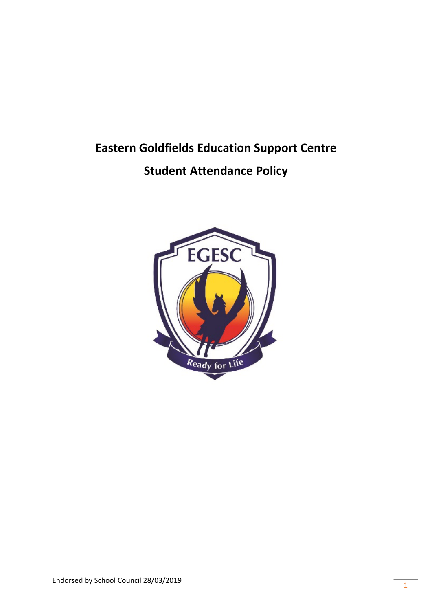# **Eastern Goldfields Education Support Centre**

# **Student Attendance Policy**

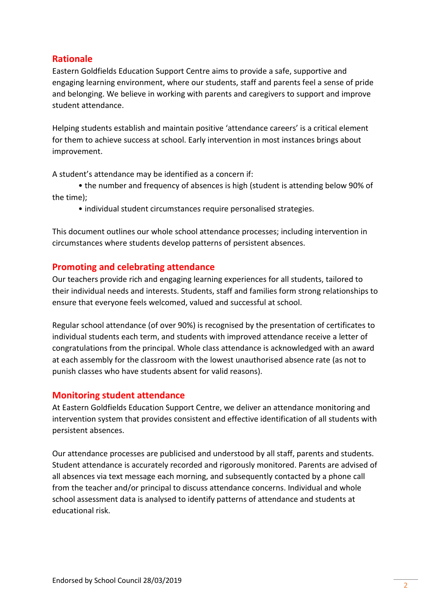# **Rationale**

Eastern Goldfields Education Support Centre aims to provide a safe, supportive and engaging learning environment, where our students, staff and parents feel a sense of pride and belonging. We believe in working with parents and caregivers to support and improve student attendance.

Helping students establish and maintain positive 'attendance careers' is a critical element for them to achieve success at school. Early intervention in most instances brings about improvement.

A student's attendance may be identified as a concern if:

• the number and frequency of absences is high (student is attending below 90% of the time);

• individual student circumstances require personalised strategies.

This document outlines our whole school attendance processes; including intervention in circumstances where students develop patterns of persistent absences.

### **Promoting and celebrating attendance**

Our teachers provide rich and engaging learning experiences for all students, tailored to their individual needs and interests. Students, staff and families form strong relationships to ensure that everyone feels welcomed, valued and successful at school.

Regular school attendance (of over 90%) is recognised by the presentation of certificates to individual students each term, and students with improved attendance receive a letter of congratulations from the principal. Whole class attendance is acknowledged with an award at each assembly for the classroom with the lowest unauthorised absence rate (as not to punish classes who have students absent for valid reasons).

# **Monitoring student attendance**

At Eastern Goldfields Education Support Centre, we deliver an attendance monitoring and intervention system that provides consistent and effective identification of all students with persistent absences.

Our attendance processes are publicised and understood by all staff, parents and students. Student attendance is accurately recorded and rigorously monitored. Parents are advised of all absences via text message each morning, and subsequently contacted by a phone call from the teacher and/or principal to discuss attendance concerns. Individual and whole school assessment data is analysed to identify patterns of attendance and students at educational risk.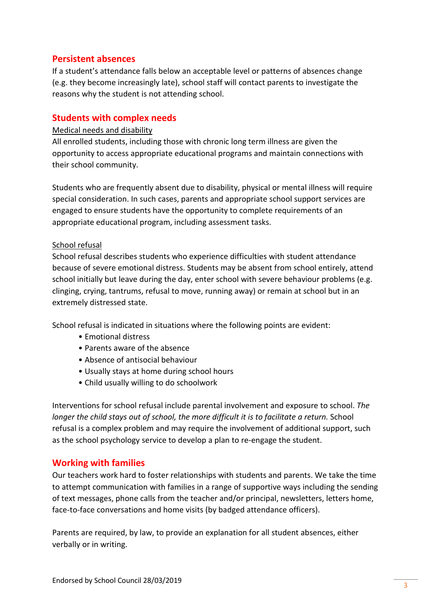# **Persistent absences**

If a student's attendance falls below an acceptable level or patterns of absences change (e.g. they become increasingly late), school staff will contact parents to investigate the reasons why the student is not attending school.

# **Students with complex needs**

#### Medical needs and disability

All enrolled students, including those with chronic long term illness are given the opportunity to access appropriate educational programs and maintain connections with their school community.

Students who are frequently absent due to disability, physical or mental illness will require special consideration. In such cases, parents and appropriate school support services are engaged to ensure students have the opportunity to complete requirements of an appropriate educational program, including assessment tasks.

#### School refusal

School refusal describes students who experience difficulties with student attendance because of severe emotional distress. Students may be absent from school entirely, attend school initially but leave during the day, enter school with severe behaviour problems (e.g. clinging, crying, tantrums, refusal to move, running away) or remain at school but in an extremely distressed state.

School refusal is indicated in situations where the following points are evident:

- Emotional distress
- Parents aware of the absence
- Absence of antisocial behaviour
- Usually stays at home during school hours
- Child usually willing to do schoolwork

Interventions for school refusal include parental involvement and exposure to school. *The longer the child stays out of school, the more difficult it is to facilitate a return.* School refusal is a complex problem and may require the involvement of additional support, such as the school psychology service to develop a plan to re-engage the student.

# **Working with families**

Our teachers work hard to foster relationships with students and parents. We take the time to attempt communication with families in a range of supportive ways including the sending of text messages, phone calls from the teacher and/or principal, newsletters, letters home, face-to-face conversations and home visits (by badged attendance officers).

Parents are required, by law, to provide an explanation for all student absences, either verbally or in writing.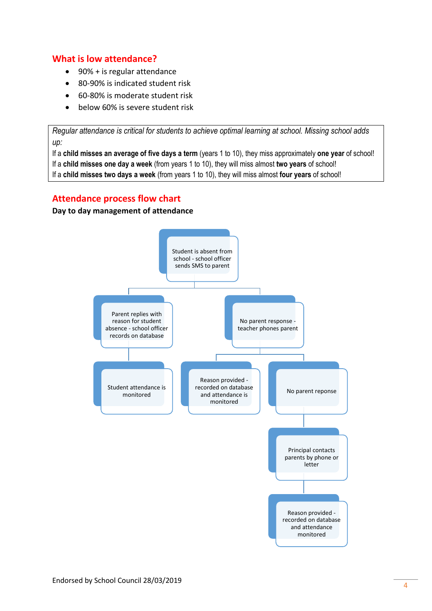# **What is low attendance?**

- 90% + is regular attendance
- 80-90% is indicated student risk
- 60-80% is moderate student risk
- below 60% is severe student risk

*Regular attendance is critical for students to achieve optimal learning at school. Missing school adds up:* 

If a **child misses an average of five days a term** (years 1 to 10), they miss approximately **one year** of school! If a **child misses one day a week** (from years 1 to 10), they will miss almost **two years** of school! If a **child misses two days a week** (from years 1 to 10), they will miss almost **four years** of school!

# **Attendance process flow chart**

#### **Day to day management of attendance**

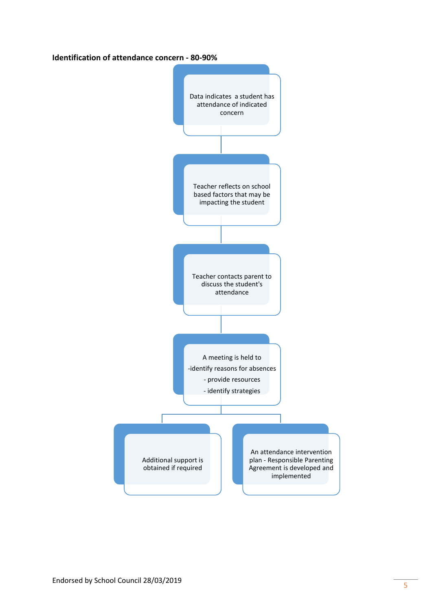